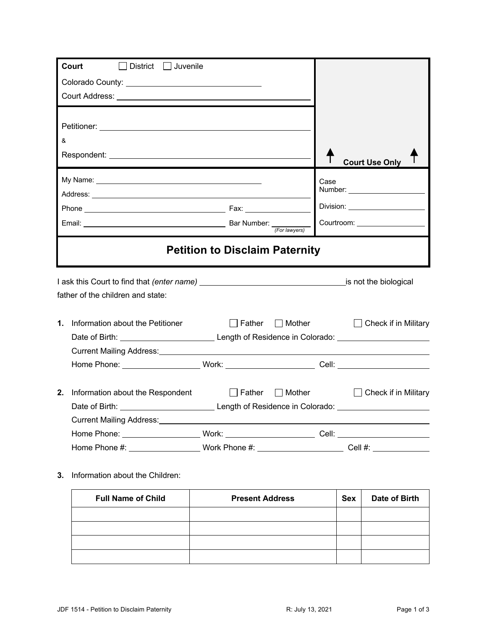| <b>Court</b><br>$\Box$ District $\Box$ Juvenile                                                                       |                                       |                                      |
|-----------------------------------------------------------------------------------------------------------------------|---------------------------------------|--------------------------------------|
|                                                                                                                       |                                       |                                      |
|                                                                                                                       |                                       |                                      |
|                                                                                                                       |                                       |                                      |
|                                                                                                                       |                                       |                                      |
| &                                                                                                                     |                                       |                                      |
|                                                                                                                       |                                       |                                      |
|                                                                                                                       |                                       | <b>Court Use Only</b>                |
|                                                                                                                       |                                       | Case                                 |
|                                                                                                                       |                                       |                                      |
|                                                                                                                       |                                       |                                      |
|                                                                                                                       | (For lawyers)                         | Courtroom: University of Courtroom:  |
|                                                                                                                       |                                       |                                      |
|                                                                                                                       | <b>Petition to Disclaim Paternity</b> |                                      |
|                                                                                                                       |                                       |                                      |
|                                                                                                                       |                                       |                                      |
| father of the children and state:                                                                                     |                                       |                                      |
| 1. Information about the Petitioner                                                                                   | $\Box$ Father                         | □ Mother □ Check if in Military      |
| Date of Birth: <u>_______________________________</u> Length of Residence in Colorado: ______________________________ |                                       |                                      |
| Current Mailing Address: Current Mailing Address:                                                                     |                                       |                                      |
| Home Phone: ______________________Work: ___________________________Cell: ___________________________                  |                                       |                                      |
|                                                                                                                       |                                       |                                      |
| 2.<br>Information about the Respondent                                                                                |                                       | Father Mother C Check if in Military |
|                                                                                                                       |                                       |                                      |
| Current Mailing Address:                                                                                              |                                       |                                      |
| Home Phone: ______________________Work: __________________________Cell: ____________________________                  |                                       |                                      |
| Home Phone #: ___________________Work Phone #: __________________________Cell #: ___________________                  |                                       |                                      |

**3.** Information about the Children:

| <b>Full Name of Child</b> | <b>Present Address</b> | <b>Sex</b> | Date of Birth |
|---------------------------|------------------------|------------|---------------|
|                           |                        |            |               |
|                           |                        |            |               |
|                           |                        |            |               |
|                           |                        |            |               |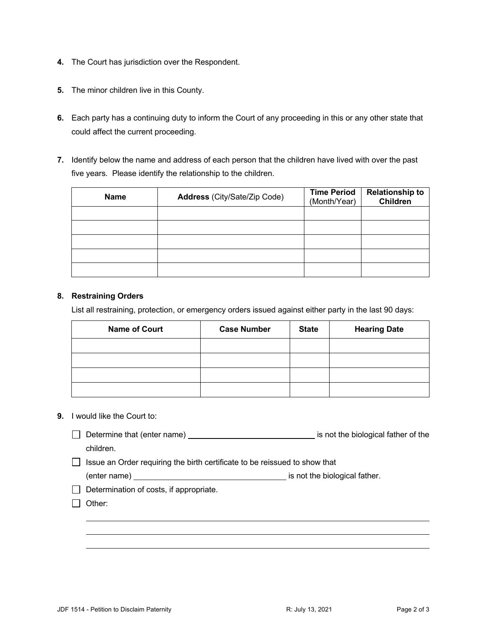- **4.** The Court has jurisdiction over the Respondent.
- **5.** The minor children live in this County.
- **6.** Each party has a continuing duty to inform the Court of any proceeding in this or any other state that could affect the current proceeding.
- **7.** Identify below the name and address of each person that the children have lived with over the past five years. Please identify the relationship to the children.

| <b>Name</b> | Address (City/Sate/Zip Code) | <b>Time Period</b><br>(Month/Year) | <b>Relationship to</b><br><b>Children</b> |
|-------------|------------------------------|------------------------------------|-------------------------------------------|
|             |                              |                                    |                                           |
|             |                              |                                    |                                           |
|             |                              |                                    |                                           |
|             |                              |                                    |                                           |
|             |                              |                                    |                                           |

## **8. Restraining Orders**

List all restraining, protection, or emergency orders issued against either party in the last 90 days:

| <b>Name of Court</b> | <b>Case Number</b> | <b>State</b> | <b>Hearing Date</b> |
|----------------------|--------------------|--------------|---------------------|
|                      |                    |              |                     |
|                      |                    |              |                     |
|                      |                    |              |                     |
|                      |                    |              |                     |

## **9.** I would like the Court to:

- Determine that (enter name) **is not the biological father of the** children.
- $\Box$  Issue an Order requiring the birth certificate to be reissued to show that

(enter name) is not the biological father.

 $\Box$  Determination of costs, if appropriate.

□ Other: